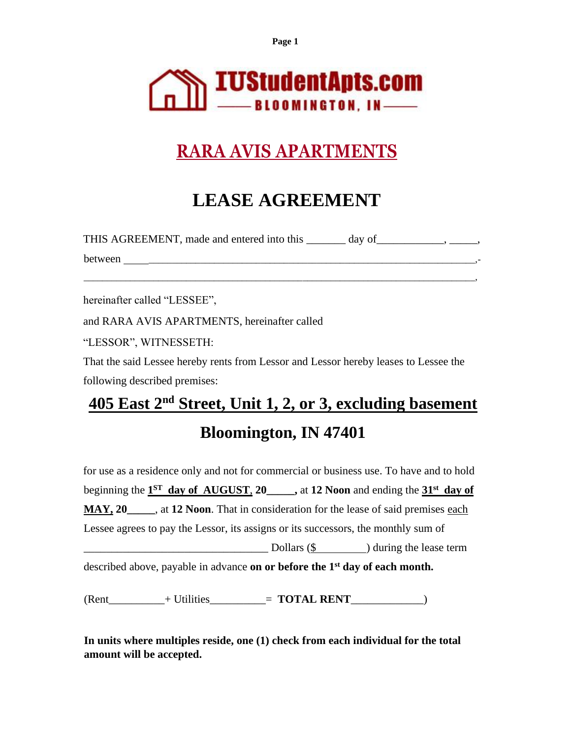

# **RARA AVIS APARTMENTS**

# **LEASE AGREEMENT**

| THIS AGREEMENT, made and entered into this | day of |  |
|--------------------------------------------|--------|--|
| between                                    |        |  |

\_\_\_\_\_\_\_\_\_\_\_\_\_\_\_\_\_\_\_\_\_\_\_\_\_\_\_\_\_\_\_\_\_\_\_\_\_\_\_\_\_\_\_\_\_\_\_\_\_\_\_\_\_\_\_\_\_\_\_\_\_\_\_\_\_\_\_\_\_\_\_\_\_\_\_\_\_\_\_\_\_\_\_\_,

hereinafter called "LESSEE",

and RARA AVIS APARTMENTS, hereinafter called

"LESSOR", WITNESSETH:

That the said Lessee hereby rents from Lessor and Lessor hereby leases to Lessee the following described premises:

# **405 East 2nd Street, Unit 1, 2, or 3, excluding basement Bloomington, IN 47401**

for use as a residence only and not for commercial or business use. To have and to hold beginning the **1 ST day of AUGUST**, **20\_\_\_\_\_,** at **12 Noon** and ending the **31st day of MAY, 20\_\_\_\_\_**, at **12 Noon**. That in consideration for the lease of said premises each Lessee agrees to pay the Lessor, its assigns or its successors, the monthly sum of  $\text{Dollars}$  (\$ ) during the lease term described above, payable in advance **on or before the 1st day of each month.**

(Rent\_\_\_\_\_\_\_\_\_\_+ Utilities\_\_\_\_\_\_\_\_\_\_= **TOTAL RENT**\_\_\_\_\_\_\_\_\_\_\_\_\_)

**In units where multiples reside, one (1) check from each individual for the total amount will be accepted.**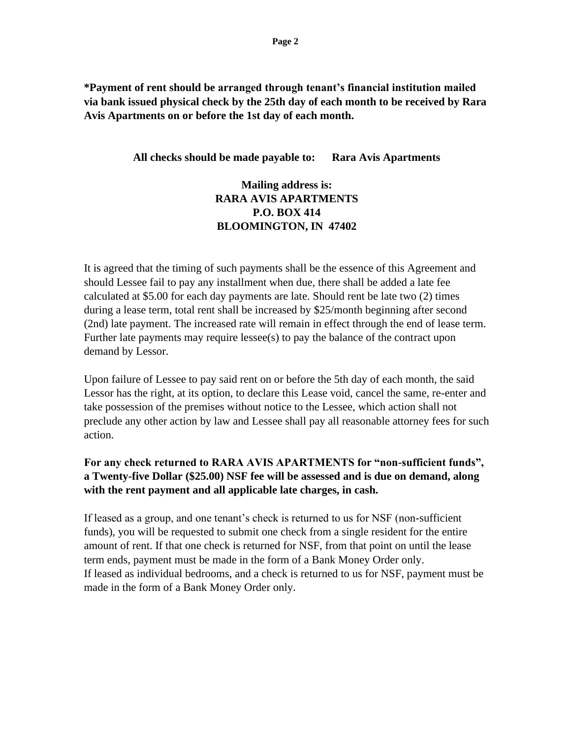**\*Payment of rent should be arranged through tenant's financial institution mailed via bank issued physical check by the 25th day of each month to be received by Rara Avis Apartments on or before the 1st day of each month.**

**All checks should be made payable to: Rara Avis Apartments**

## **Mailing address is: RARA AVIS APARTMENTS P.O. BOX 414 BLOOMINGTON, IN 47402**

It is agreed that the timing of such payments shall be the essence of this Agreement and should Lessee fail to pay any installment when due, there shall be added a late fee calculated at \$5.00 for each day payments are late. Should rent be late two (2) times during a lease term, total rent shall be increased by \$25/month beginning after second (2nd) late payment. The increased rate will remain in effect through the end of lease term. Further late payments may require lessee(s) to pay the balance of the contract upon demand by Lessor.

Upon failure of Lessee to pay said rent on or before the 5th day of each month, the said Lessor has the right, at its option, to declare this Lease void, cancel the same, re-enter and take possession of the premises without notice to the Lessee, which action shall not preclude any other action by law and Lessee shall pay all reasonable attorney fees for such action.

## **For any check returned to RARA AVIS APARTMENTS for "non-sufficient funds", a Twenty-five Dollar (\$25.00) NSF fee will be assessed and is due on demand, along with the rent payment and all applicable late charges, in cash.**

If leased as a group, and one tenant's check is returned to us for NSF (non-sufficient funds), you will be requested to submit one check from a single resident for the entire amount of rent. If that one check is returned for NSF, from that point on until the lease term ends, payment must be made in the form of a Bank Money Order only. If leased as individual bedrooms, and a check is returned to us for NSF, payment must be made in the form of a Bank Money Order only.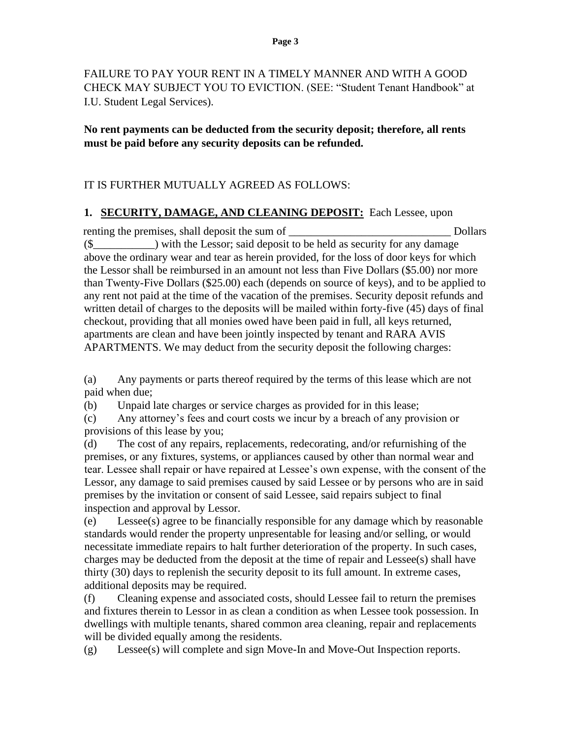FAILURE TO PAY YOUR RENT IN A TIMELY MANNER AND WITH A GOOD CHECK MAY SUBJECT YOU TO EVICTION. (SEE: "Student Tenant Handbook" at I.U. Student Legal Services).

### **No rent payments can be deducted from the security deposit; therefore, all rents must be paid before any security deposits can be refunded.**

## IT IS FURTHER MUTUALLY AGREED AS FOLLOWS:

### **1. SECURITY, DAMAGE, AND CLEANING DEPOSIT:** Each Lessee, upon

renting the premises, shall deposit the sum of True Dollars  $(\text{\$}$  ) with the Lessor; said deposit to be held as security for any damage above the ordinary wear and tear as herein provided, for the loss of door keys for which the Lessor shall be reimbursed in an amount not less than Five Dollars (\$5.00) nor more than Twenty-Five Dollars (\$25.00) each (depends on source of keys), and to be applied to any rent not paid at the time of the vacation of the premises. Security deposit refunds and written detail of charges to the deposits will be mailed within forty-five (45) days of final checkout, providing that all monies owed have been paid in full, all keys returned, apartments are clean and have been jointly inspected by tenant and RARA AVIS APARTMENTS. We may deduct from the security deposit the following charges:

(a) Any payments or parts thereof required by the terms of this lease which are not paid when due;

(b) Unpaid late charges or service charges as provided for in this lease;

(c) Any attorney's fees and court costs we incur by a breach of any provision or provisions of this lease by you;

(d) The cost of any repairs, replacements, redecorating, and/or refurnishing of the premises, or any fixtures, systems, or appliances caused by other than normal wear and tear. Lessee shall repair or have repaired at Lessee's own expense, with the consent of the Lessor, any damage to said premises caused by said Lessee or by persons who are in said premises by the invitation or consent of said Lessee, said repairs subject to final inspection and approval by Lessor.

(e) Lessee(s) agree to be financially responsible for any damage which by reasonable standards would render the property unpresentable for leasing and/or selling, or would necessitate immediate repairs to halt further deterioration of the property. In such cases, charges may be deducted from the deposit at the time of repair and Lessee(s) shall have thirty (30) days to replenish the security deposit to its full amount. In extreme cases, additional deposits may be required.

(f) Cleaning expense and associated costs, should Lessee fail to return the premises and fixtures therein to Lessor in as clean a condition as when Lessee took possession. In dwellings with multiple tenants, shared common area cleaning, repair and replacements will be divided equally among the residents.

(g) Lessee(s) will complete and sign Move-In and Move-Out Inspection reports.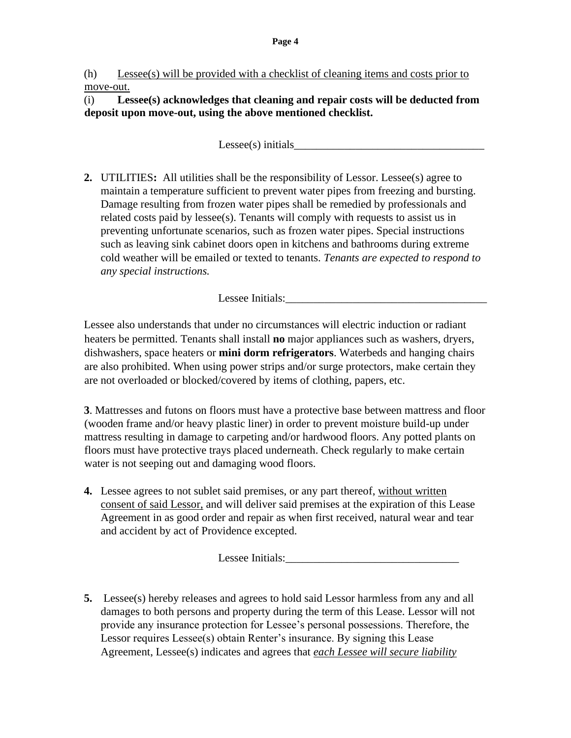### (h) Lessee(s) will be provided with a checklist of cleaning items and costs prior to move-out.

(i) **Lessee(s) acknowledges that cleaning and repair costs will be deducted from deposit upon move-out, using the above mentioned checklist.**

 $Lesse(s)$  initials

**2.** UTILITIES**:** All utilities shall be the responsibility of Lessor. Lessee(s) agree to maintain a temperature sufficient to prevent water pipes from freezing and bursting. Damage resulting from frozen water pipes shall be remedied by professionals and related costs paid by lessee(s). Tenants will comply with requests to assist us in preventing unfortunate scenarios, such as frozen water pipes. Special instructions such as leaving sink cabinet doors open in kitchens and bathrooms during extreme cold weather will be emailed or texted to tenants. *Tenants are expected to respond to any special instructions.*

Lessee Initials:

Lessee also understands that under no circumstances will electric induction or radiant heaters be permitted. Tenants shall install **no** major appliances such as washers, dryers, dishwashers, space heaters or **mini dorm refrigerators**. Waterbeds and hanging chairs are also prohibited. When using power strips and/or surge protectors, make certain they are not overloaded or blocked/covered by items of clothing, papers, etc.

**3**. Mattresses and futons on floors must have a protective base between mattress and floor (wooden frame and/or heavy plastic liner) in order to prevent moisture build-up under mattress resulting in damage to carpeting and/or hardwood floors. Any potted plants on floors must have protective trays placed underneath. Check regularly to make certain water is not seeping out and damaging wood floors.

**4.** Lessee agrees to not sublet said premises, or any part thereof, without written consent of said Lessor, and will deliver said premises at the expiration of this Lease Agreement in as good order and repair as when first received, natural wear and tear and accident by act of Providence excepted.

Lessee Initials:

**5.** Lessee(s) hereby releases and agrees to hold said Lessor harmless from any and all damages to both persons and property during the term of this Lease. Lessor will not provide any insurance protection for Lessee's personal possessions. Therefore, the Lessor requires Lessee(s) obtain Renter's insurance. By signing this Lease Agreement, Lessee(s) indicates and agrees that *each Lessee will secure liability*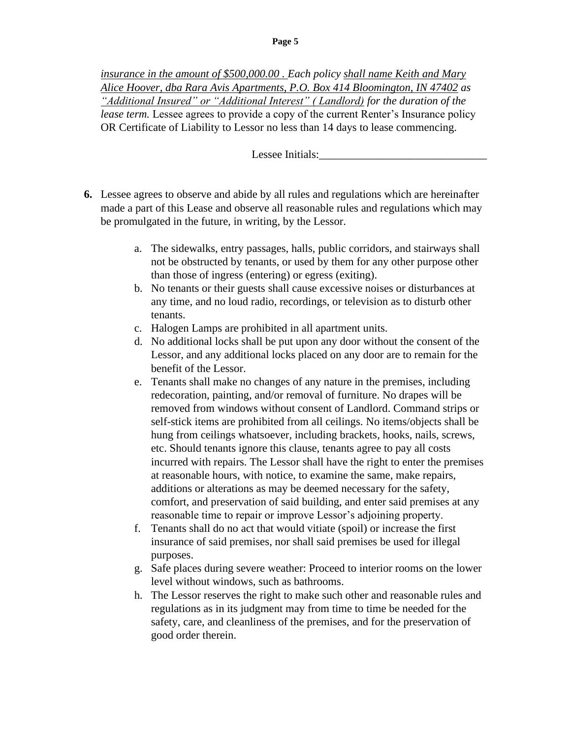*insurance in the amount of \$500,000.00 . Each policy shall name Keith and Mary Alice Hoover, dba Rara Avis Apartments, P.O. Box 414 Bloomington, IN 47402 as "Additional Insured" or "Additional Interest" ( Landlord) for the duration of the lease term.* Lessee agrees to provide a copy of the current Renter's Insurance policy OR Certificate of Liability to Lessor no less than 14 days to lease commencing.

Lessee Initials:

- **6.** Lessee agrees to observe and abide by all rules and regulations which are hereinafter made a part of this Lease and observe all reasonable rules and regulations which may be promulgated in the future, in writing, by the Lessor.
	- a. The sidewalks, entry passages, halls, public corridors, and stairways shall not be obstructed by tenants, or used by them for any other purpose other than those of ingress (entering) or egress (exiting).
	- b. No tenants or their guests shall cause excessive noises or disturbances at any time, and no loud radio, recordings, or television as to disturb other tenants.
	- c. Halogen Lamps are prohibited in all apartment units.
	- d. No additional locks shall be put upon any door without the consent of the Lessor, and any additional locks placed on any door are to remain for the benefit of the Lessor.
	- e. Tenants shall make no changes of any nature in the premises, including redecoration, painting, and/or removal of furniture. No drapes will be removed from windows without consent of Landlord. Command strips or self-stick items are prohibited from all ceilings. No items/objects shall be hung from ceilings whatsoever, including brackets, hooks, nails, screws, etc. Should tenants ignore this clause, tenants agree to pay all costs incurred with repairs. The Lessor shall have the right to enter the premises at reasonable hours, with notice, to examine the same, make repairs, additions or alterations as may be deemed necessary for the safety, comfort, and preservation of said building, and enter said premises at any reasonable time to repair or improve Lessor's adjoining property.
	- f. Tenants shall do no act that would vitiate (spoil) or increase the first insurance of said premises, nor shall said premises be used for illegal purposes.
	- g. Safe places during severe weather: Proceed to interior rooms on the lower level without windows, such as bathrooms.
	- h. The Lessor reserves the right to make such other and reasonable rules and regulations as in its judgment may from time to time be needed for the safety, care, and cleanliness of the premises, and for the preservation of good order therein.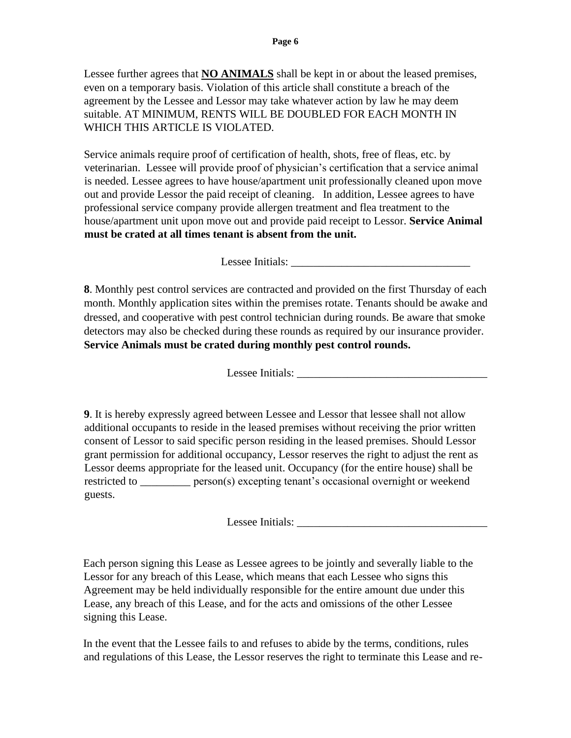Lessee further agrees that **NO ANIMALS** shall be kept in or about the leased premises, even on a temporary basis. Violation of this article shall constitute a breach of the agreement by the Lessee and Lessor may take whatever action by law he may deem suitable. AT MINIMUM, RENTS WILL BE DOUBLED FOR EACH MONTH IN WHICH THIS ARTICLE IS VIOLATED.

Service animals require proof of certification of health, shots, free of fleas, etc. by veterinarian. Lessee will provide proof of physician's certification that a service animal is needed. Lessee agrees to have house/apartment unit professionally cleaned upon move out and provide Lessor the paid receipt of cleaning. In addition, Lessee agrees to have professional service company provide allergen treatment and flea treatment to the house/apartment unit upon move out and provide paid receipt to Lessor. **Service Animal must be crated at all times tenant is absent from the unit.**

Lessee Initials: \_\_\_\_\_\_\_\_\_\_\_\_\_\_\_\_\_\_\_\_\_\_\_\_\_\_\_\_\_\_\_\_

**8**. Monthly pest control services are contracted and provided on the first Thursday of each month. Monthly application sites within the premises rotate. Tenants should be awake and dressed, and cooperative with pest control technician during rounds. Be aware that smoke detectors may also be checked during these rounds as required by our insurance provider. **Service Animals must be crated during monthly pest control rounds.**

Lessee Initials: \_\_\_\_\_\_\_\_\_\_\_\_\_\_\_\_\_\_\_\_\_\_\_\_\_\_\_\_\_\_\_\_\_\_

**9**. It is hereby expressly agreed between Lessee and Lessor that lessee shall not allow additional occupants to reside in the leased premises without receiving the prior written consent of Lessor to said specific person residing in the leased premises. Should Lessor grant permission for additional occupancy, Lessor reserves the right to adjust the rent as Lessor deems appropriate for the leased unit. Occupancy (for the entire house) shall be restricted to \_\_\_\_\_\_\_\_\_ person(s) excepting tenant's occasional overnight or weekend guests.

Lessee Initials:

Each person signing this Lease as Lessee agrees to be jointly and severally liable to the Lessor for any breach of this Lease, which means that each Lessee who signs this Agreement may be held individually responsible for the entire amount due under this Lease, any breach of this Lease, and for the acts and omissions of the other Lessee signing this Lease.

In the event that the Lessee fails to and refuses to abide by the terms, conditions, rules and regulations of this Lease, the Lessor reserves the right to terminate this Lease and re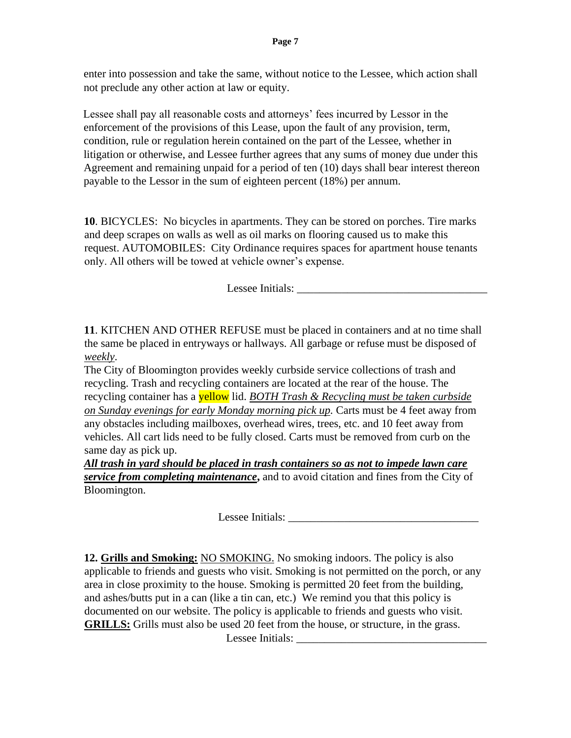enter into possession and take the same, without notice to the Lessee, which action shall not preclude any other action at law or equity.

Lessee shall pay all reasonable costs and attorneys' fees incurred by Lessor in the enforcement of the provisions of this Lease, upon the fault of any provision, term, condition, rule or regulation herein contained on the part of the Lessee, whether in litigation or otherwise, and Lessee further agrees that any sums of money due under this Agreement and remaining unpaid for a period of ten (10) days shall bear interest thereon payable to the Lessor in the sum of eighteen percent (18%) per annum.

**10**. BICYCLES: No bicycles in apartments. They can be stored on porches. Tire marks and deep scrapes on walls as well as oil marks on flooring caused us to make this request. AUTOMOBILES: City Ordinance requires spaces for apartment house tenants only. All others will be towed at vehicle owner's expense.

Lessee Initials:

**11**. KITCHEN AND OTHER REFUSE must be placed in containers and at no time shall the same be placed in entryways or hallways. All garbage or refuse must be disposed of *weekly*.

The City of Bloomington provides weekly curbside service collections of trash and recycling. Trash and recycling containers are located at the rear of the house. The recycling container has a yellow lid. *BOTH Trash & Recycling must be taken curbside on Sunday evenings for early Monday morning pick up.* Carts must be 4 feet away from any obstacles including mailboxes, overhead wires, trees, etc. and 10 feet away from vehicles. All cart lids need to be fully closed. Carts must be removed from curb on the same day as pick up.

*All trash in yard should be placed in trash containers so as not to impede lawn care service from completing maintenance***,** and to avoid citation and fines from the City of Bloomington.

Lessee Initials:

**12. Grills and Smoking:** NO SMOKING. No smoking indoors. The policy is also applicable to friends and guests who visit. Smoking is not permitted on the porch, or any area in close proximity to the house. Smoking is permitted 20 feet from the building, and ashes/butts put in a can (like a tin can, etc.) We remind you that this policy is documented on our website. The policy is applicable to friends and guests who visit. **GRILLS:** Grills must also be used 20 feet from the house, or structure, in the grass.

Lessee Initials: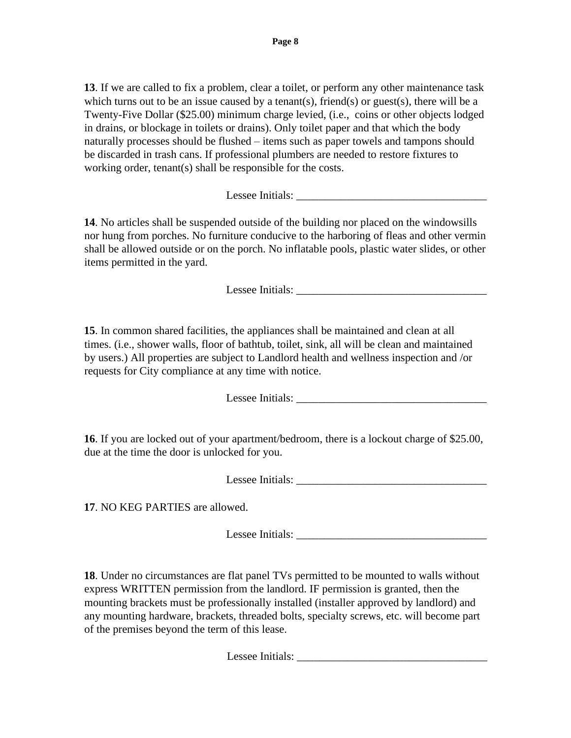**13**. If we are called to fix a problem, clear a toilet, or perform any other maintenance task which turns out to be an issue caused by a tenant(s), friend(s) or guest(s), there will be a Twenty-Five Dollar (\$25.00) minimum charge levied, (i.e., coins or other objects lodged in drains, or blockage in toilets or drains). Only toilet paper and that which the body naturally processes should be flushed – items such as paper towels and tampons should be discarded in trash cans. If professional plumbers are needed to restore fixtures to working order, tenant(s) shall be responsible for the costs.

Lessee Initials:

**14**. No articles shall be suspended outside of the building nor placed on the windowsills nor hung from porches. No furniture conducive to the harboring of fleas and other vermin shall be allowed outside or on the porch. No inflatable pools, plastic water slides, or other items permitted in the yard.

Lessee Initials: \_\_\_\_\_\_\_\_\_\_\_\_\_\_\_\_\_\_\_\_\_\_\_\_\_\_\_\_\_\_\_\_\_\_

**15**. In common shared facilities, the appliances shall be maintained and clean at all times. (i.e., shower walls, floor of bathtub, toilet, sink, all will be clean and maintained by users.) All properties are subject to Landlord health and wellness inspection and /or requests for City compliance at any time with notice.

Lessee Initials:

**16**. If you are locked out of your apartment/bedroom, there is a lockout charge of \$25.00, due at the time the door is unlocked for you.

Lessee Initials:

**17**. NO KEG PARTIES are allowed.

Lessee Initials:

**18**. Under no circumstances are flat panel TVs permitted to be mounted to walls without express WRITTEN permission from the landlord. IF permission is granted, then the mounting brackets must be professionally installed (installer approved by landlord) and any mounting hardware, brackets, threaded bolts, specialty screws, etc. will become part of the premises beyond the term of this lease.

Lessee Initials: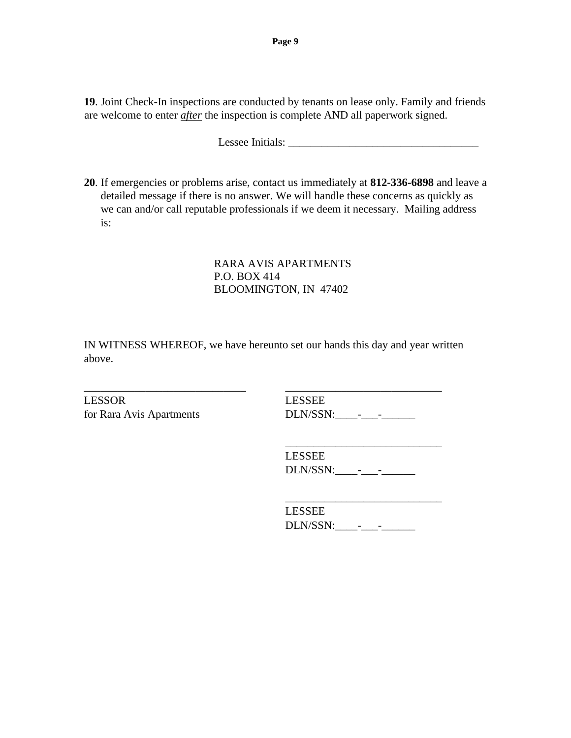**19**. Joint Check-In inspections are conducted by tenants on lease only. Family and friends are welcome to enter *after* the inspection is complete AND all paperwork signed.

Lessee Initials: \_\_\_\_\_\_\_\_\_\_\_\_\_\_\_\_\_\_\_\_\_\_\_\_\_\_\_\_\_\_\_\_\_\_

**20**. If emergencies or problems arise, contact us immediately at **812-336-6898** and leave a detailed message if there is no answer. We will handle these concerns as quickly as we can and/or call reputable professionals if we deem it necessary. Mailing address is:

> RARA AVIS APARTMENTS P.O. BOX 414 BLOOMINGTON, IN 47402

IN WITNESS WHEREOF, we have hereunto set our hands this day and year written above.

\_\_\_\_\_\_\_\_\_\_\_\_\_\_\_\_\_\_\_\_\_\_\_\_\_\_\_\_\_ \_\_\_\_\_\_\_\_\_\_\_\_\_\_\_\_\_\_\_\_\_\_\_\_\_\_\_\_

LESSOR LESSEE

for Rara Avis Apartments DLN/SSN:\_\_\_\_-\_\_\_-\_\_\_\_\_\_

LESSEE DLN/SSN:\_\_\_\_-\_\_\_-\_\_\_\_\_\_

\_\_\_\_\_\_\_\_\_\_\_\_\_\_\_\_\_\_\_\_\_\_\_\_\_\_\_\_

\_\_\_\_\_\_\_\_\_\_\_\_\_\_\_\_\_\_\_\_\_\_\_\_\_\_\_\_ LESSEE DLN/SSN:\_\_\_\_-\_\_\_-\_\_\_\_\_\_